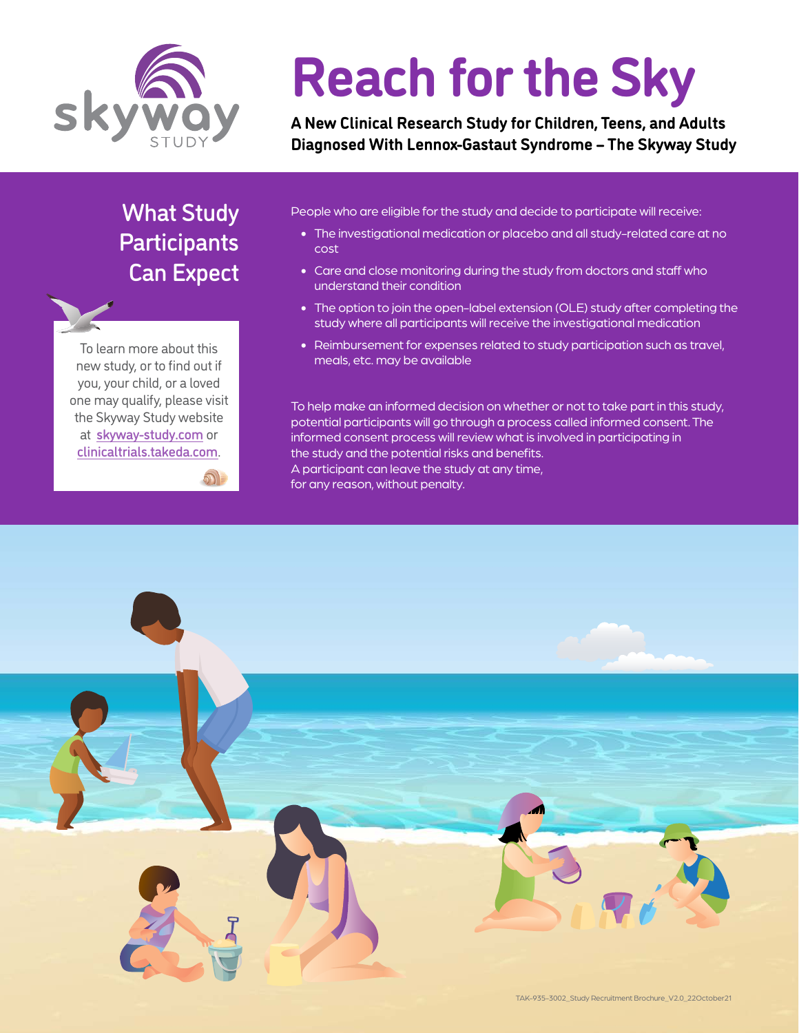

# **Reach for the Sky**

**A New Clinical Research Study for Children, Teens, and Adults Diagnosed With Lennox-Gastaut Syndrome – The Skyway Study**

# What Study **Participants** Can Expect

To learn more about this new study, or to find out if you, your child, or a loved one may qualify, please visit the Skyway Study website at [skyway-study.com](https://skyway.researchstudytrial.com?utm_source=patient_advocacy_group&utm_medium=LGSF_brochure&utm_campaign=LGSF_brochure&r=18) or <clinicaltrials.takeda.com>.

 $\mathcal{D}$ 

People who are eligible for the study and decide to participate will receive:

- The investigational medication or placebo and all study-related care at no cost
- Care and close monitoring during the study from doctors and staff who understand their condition
- The option to join the open-label extension (OLE) study after completing the study where all participants will receive the investigational medication
- Reimbursement for expenses related to study participation such as travel, meals, etc. may be available

To help make an informed decision on whether or not to take part in this study, potential participants will go through a process called informed consent. The informed consent process will review what is involved in participating in the study and the potential risks and benefits. A participant can leave the study at any time, for any reason, without penalty.